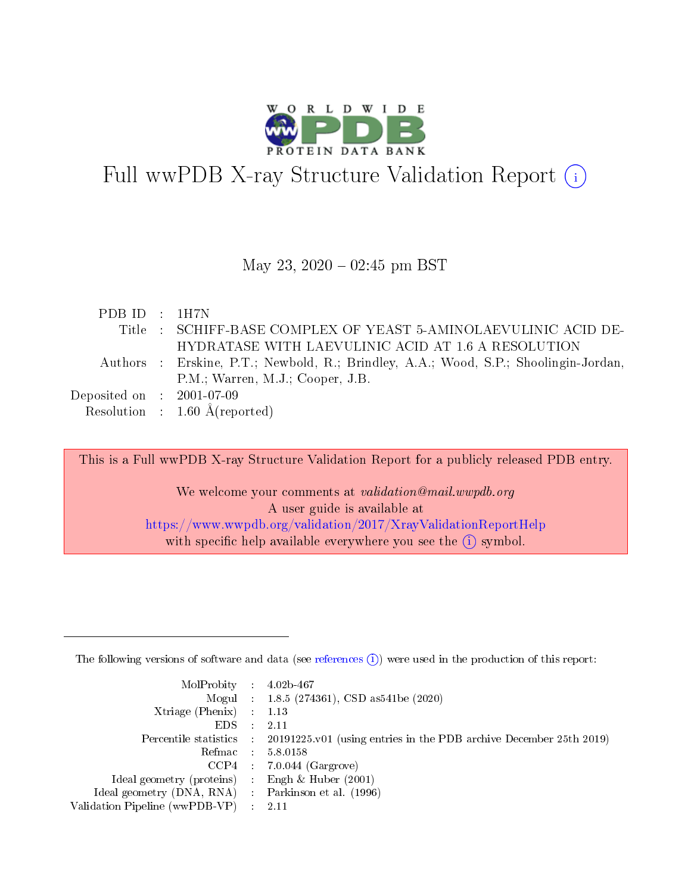

# Full wwPDB X-ray Structure Validation Report  $(i)$

#### May 23,  $2020 - 02:45$  pm BST

| PDB ID: 1H7N                |                                                                                      |
|-----------------------------|--------------------------------------------------------------------------------------|
|                             | Title : SCHIFF-BASE COMPLEX OF YEAST 5-AMINOLAEVULINIC ACID DE-                      |
|                             | HYDRATASE WITH LAEVULINIC ACID AT 1.6 A RESOLUTION                                   |
|                             | Authors : Erskine, P.T.; Newbold, R.; Brindley, A.A.; Wood, S.P.; Shoolingin-Jordan, |
|                             | P.M.; Warren, M.J.; Cooper, J.B.                                                     |
| Deposited on : $2001-07-09$ |                                                                                      |
|                             | Resolution : $1.60 \text{ Å}$ (reported)                                             |

This is a Full wwPDB X-ray Structure Validation Report for a publicly released PDB entry. We welcome your comments at validation@mail.wwpdb.org A user guide is available at <https://www.wwpdb.org/validation/2017/XrayValidationReportHelp>

with specific help available everywhere you see the  $(i)$  symbol.

The following versions of software and data (see [references](https://www.wwpdb.org/validation/2017/XrayValidationReportHelp#references)  $(1)$ ) were used in the production of this report:

| $MolProbability$ : 4.02b-467                       |               |                                                                                            |
|----------------------------------------------------|---------------|--------------------------------------------------------------------------------------------|
|                                                    |               | Mogul : $1.8.5$ (274361), CSD as 541be (2020)                                              |
| $X$ triage (Phenix) : 1.13                         |               |                                                                                            |
| EDS -                                              | $\mathcal{L}$ | 2.11                                                                                       |
|                                                    |               | Percentile statistics : 20191225.v01 (using entries in the PDB archive December 25th 2019) |
| Refmac : 5.8.0158                                  |               |                                                                                            |
|                                                    |               | $CCP4$ 7.0.044 (Gargrove)                                                                  |
| Ideal geometry (proteins) : Engh $\&$ Huber (2001) |               |                                                                                            |
| Ideal geometry (DNA, RNA) Parkinson et al. (1996)  |               |                                                                                            |
| Validation Pipeline (wwPDB-VP) : 2.11              |               |                                                                                            |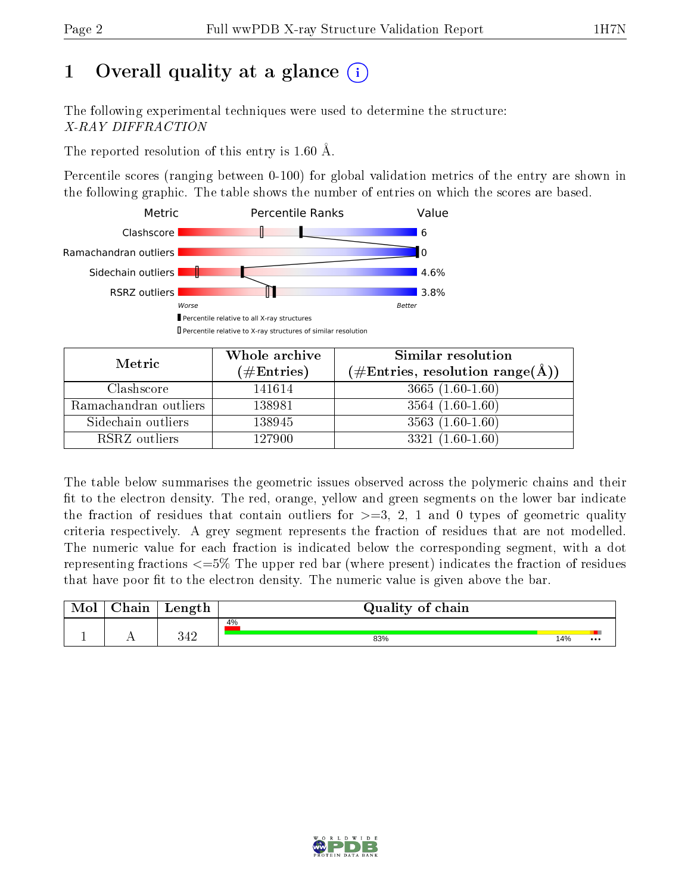# 1 [O](https://www.wwpdb.org/validation/2017/XrayValidationReportHelp#overall_quality)verall quality at a glance  $(i)$

The following experimental techniques were used to determine the structure: X-RAY DIFFRACTION

The reported resolution of this entry is 1.60 Å.

Percentile scores (ranging between 0-100) for global validation metrics of the entry are shown in the following graphic. The table shows the number of entries on which the scores are based.



| Metric                | Whole archive<br>(# $\rm{Entries}$ ) | Similar resolution<br>$(\#\text{Entries}, \text{resolution range}(\AA))$ |
|-----------------------|--------------------------------------|--------------------------------------------------------------------------|
| Clashscore            | 141614                               | $3665(1.60-1.60)$                                                        |
| Ramachandran outliers | 138981                               | $3564(1.60-1.60)$                                                        |
| Sidechain outliers    | 138945                               | $3563(1.60-1.60)$                                                        |
| RSRZ outliers         | 127900                               | $3321(1.60-1.60)$                                                        |

The table below summarises the geometric issues observed across the polymeric chains and their fit to the electron density. The red, orange, yellow and green segments on the lower bar indicate the fraction of residues that contain outliers for  $\geq=3$ , 2, 1 and 0 types of geometric quality criteria respectively. A grey segment represents the fraction of residues that are not modelled. The numeric value for each fraction is indicated below the corresponding segment, with a dot representing fractions  $\epsilon = 5\%$  The upper red bar (where present) indicates the fraction of residues that have poor fit to the electron density. The numeric value is given above the bar.

| $\gamma$ hain | Length     | Quality of chain |     |                         |
|---------------|------------|------------------|-----|-------------------------|
|               |            | 4%               |     |                         |
|               | 240<br>ココム | 83%              | 14% | $\bullet\bullet\bullet$ |

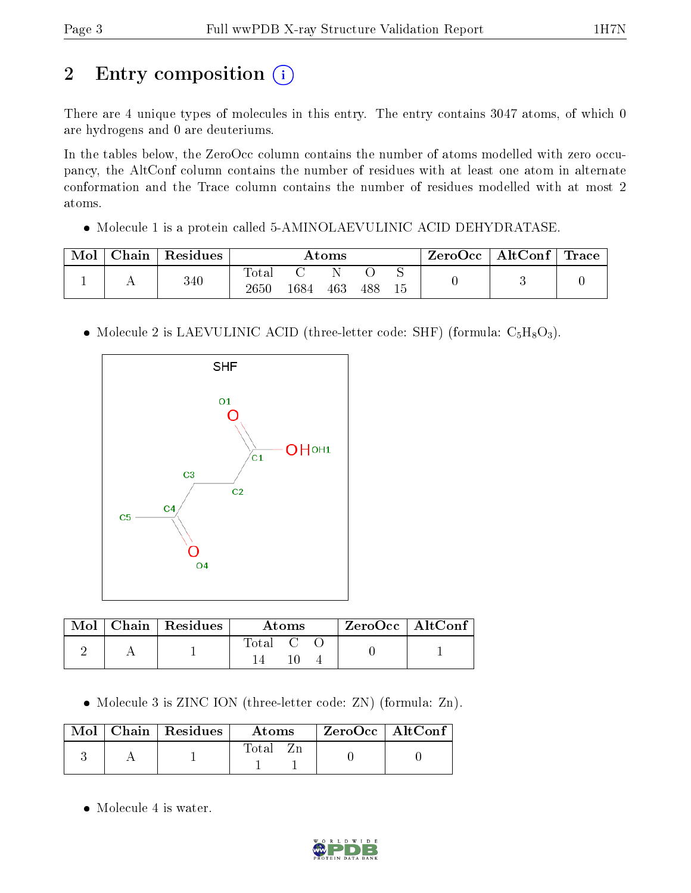# 2 Entry composition (i)

There are 4 unique types of molecules in this entry. The entry contains 3047 atoms, of which 0 are hydrogens and 0 are deuteriums.

In the tables below, the ZeroOcc column contains the number of atoms modelled with zero occupancy, the AltConf column contains the number of residues with at least one atom in alternate conformation and the Trace column contains the number of residues modelled with at most 2 atoms.

• Molecule 1 is a protein called 5-AMINOLAEVULINIC ACID DEHYDRATASE.

| Mol | ${\rm Chain}$ | Residues | $\rm{Atoms}$             |      |     |     |    | $\text{ZeroOcc} \mid \text{AltConf} \mid$ | $^\dagger$ Trace |
|-----|---------------|----------|--------------------------|------|-----|-----|----|-------------------------------------------|------------------|
|     |               | $340\,$  | $\mathrm{Total}$<br>2650 | '684 | 463 | 488 | 15 |                                           |                  |

• Molecule 2 is LAEVULINIC ACID (three-letter code: SHF) (formula:  $C_5H_8O_3$ ).



|  | $Mol$   Chain   Residues | Atoms                                                    |  |  | ZeroOcc   AltConf |  |
|--|--------------------------|----------------------------------------------------------|--|--|-------------------|--|
|  |                          | $\begin{array}{ccc} \text{Total} & \text{C} \end{array}$ |  |  |                   |  |

• Molecule 3 is ZINC ION (three-letter code: ZN) (formula: Zn).

|  | $\text{Mol}$   Chain   Residues | <b>Atoms</b> | $\rm ZeroOcc \mid AltConf$ |  |
|--|---------------------------------|--------------|----------------------------|--|
|  |                                 | Total        |                            |  |

• Molecule 4 is water.

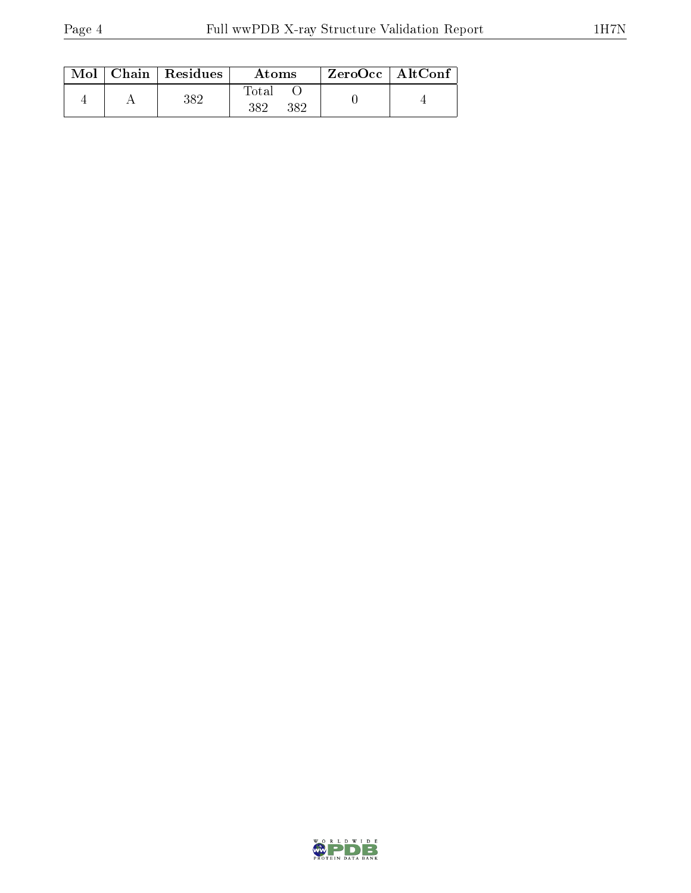|  | $Mol$   Chain   Residues<br>Atoms |                             | $ZeroOcc \   \ AltConf$ |  |
|--|-----------------------------------|-----------------------------|-------------------------|--|
|  | 382                               | <b>T</b> otal<br>382<br>382 |                         |  |

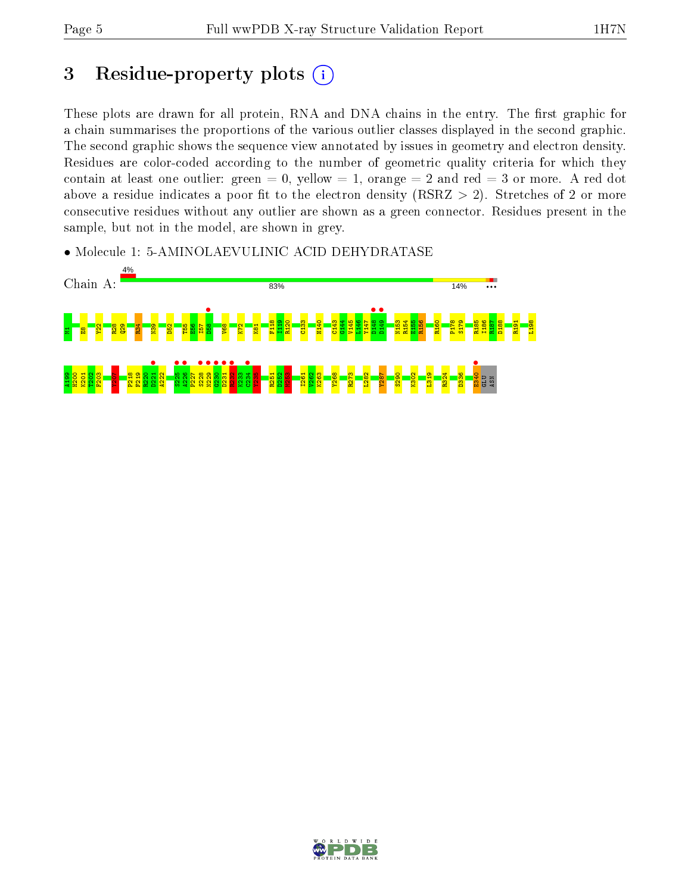# 3 Residue-property plots  $(i)$

These plots are drawn for all protein, RNA and DNA chains in the entry. The first graphic for a chain summarises the proportions of the various outlier classes displayed in the second graphic. The second graphic shows the sequence view annotated by issues in geometry and electron density. Residues are color-coded according to the number of geometric quality criteria for which they contain at least one outlier: green  $= 0$ , yellow  $= 1$ , orange  $= 2$  and red  $= 3$  or more. A red dot above a residue indicates a poor fit to the electron density (RSRZ  $> 2$ ). Stretches of 2 or more consecutive residues without any outlier are shown as a green connector. Residues present in the sample, but not in the model, are shown in grey.

• Molecule 1: 5-AMINOLAEVULINIC ACID DEHYDRATASE



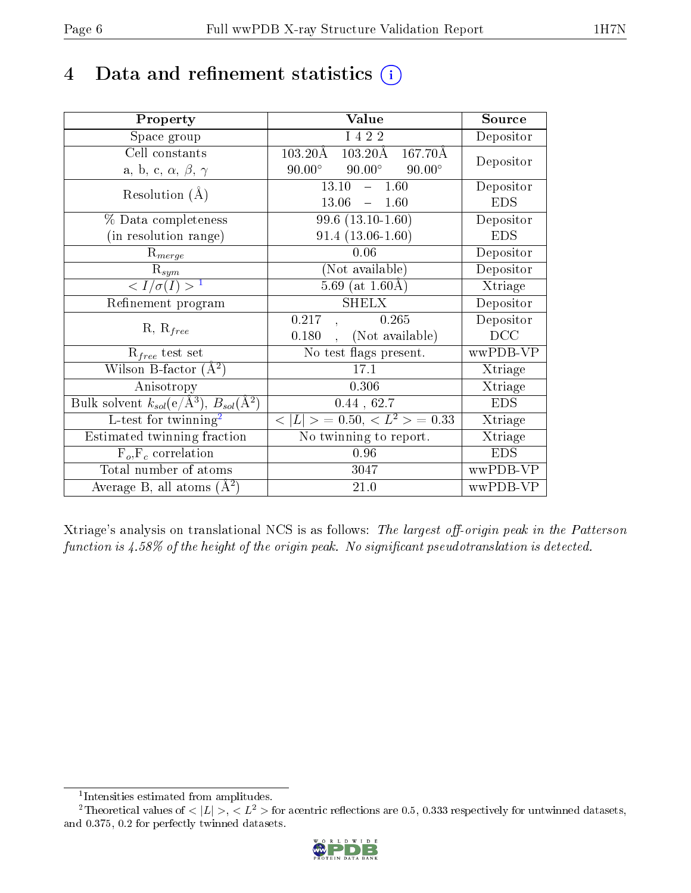# 4 Data and refinement statistics  $(i)$

| Property                                                                | Value                                                          | Source     |
|-------------------------------------------------------------------------|----------------------------------------------------------------|------------|
| Space group                                                             | I 4 2 2                                                        | Depositor  |
| Cell constants                                                          | $103.20\text{\AA}$<br>$167.70\text{\AA}$<br>$103.20\text{\AA}$ | Depositor  |
| a, b, c, $\alpha$ , $\beta$ , $\gamma$                                  | $90.00^\circ$<br>$90.00^\circ$<br>$90.00^\circ$                |            |
| Resolution $(A)$                                                        | 13.10<br>$-1.60$                                               | Depositor  |
|                                                                         | 13.06<br>1.60<br>$\equiv$                                      | <b>EDS</b> |
| % Data completeness                                                     | $99.6(13.10-1.60)$                                             | Depositor  |
| (in resolution range)                                                   | $91.4(13.06-1.60)$                                             | <b>EDS</b> |
| $R_{merge}$                                                             | 0.06                                                           | Depositor  |
| $\mathrm{R}_{sym}$                                                      | (Not available)                                                | Depositor  |
| $\langle I/\sigma(I) \rangle^{-1}$                                      | 5.69 (at $1.60\text{\AA}$ )                                    | Xtriage    |
| Refinement program                                                      | <b>SHELX</b>                                                   | Depositor  |
| $R, R_{free}$                                                           | 0.217<br>0.265                                                 | Depositor  |
|                                                                         | (Not available)<br>0.180                                       | DCC        |
| $R_{free}$ test set                                                     | No test flags present.                                         | wwPDB-VP   |
| Wilson B-factor $(A^2)$                                                 | 17.1                                                           | Xtriage    |
| Anisotropy                                                              | 0.306                                                          | Xtriage    |
| Bulk solvent $k_{sol}(\mathrm{e}/\mathrm{A}^3),\,B_{sol}(\mathrm{A}^2)$ | 0.44, 62.7                                                     | <b>EDS</b> |
| L-test for twinning <sup>2</sup>                                        | $< L >$ = 0.50, $< L2$ > = 0.33                                | Xtriage    |
| Estimated twinning fraction                                             | No twinning to report.                                         | Xtriage    |
| $F_o, F_c$ correlation                                                  | 0.96                                                           | <b>EDS</b> |
| Total number of atoms                                                   | 3047                                                           | wwPDB-VP   |
| Average B, all atoms $(A^2)$                                            | 21.0                                                           | wwPDB-VP   |

Xtriage's analysis on translational NCS is as follows: The largest off-origin peak in the Patterson function is  $4.58\%$  of the height of the origin peak. No significant pseudotranslation is detected.

<sup>&</sup>lt;sup>2</sup>Theoretical values of  $\langle |L| \rangle$ ,  $\langle L^2 \rangle$  for acentric reflections are 0.5, 0.333 respectively for untwinned datasets, and 0.375, 0.2 for perfectly twinned datasets.



<span id="page-5-1"></span><span id="page-5-0"></span><sup>1</sup> Intensities estimated from amplitudes.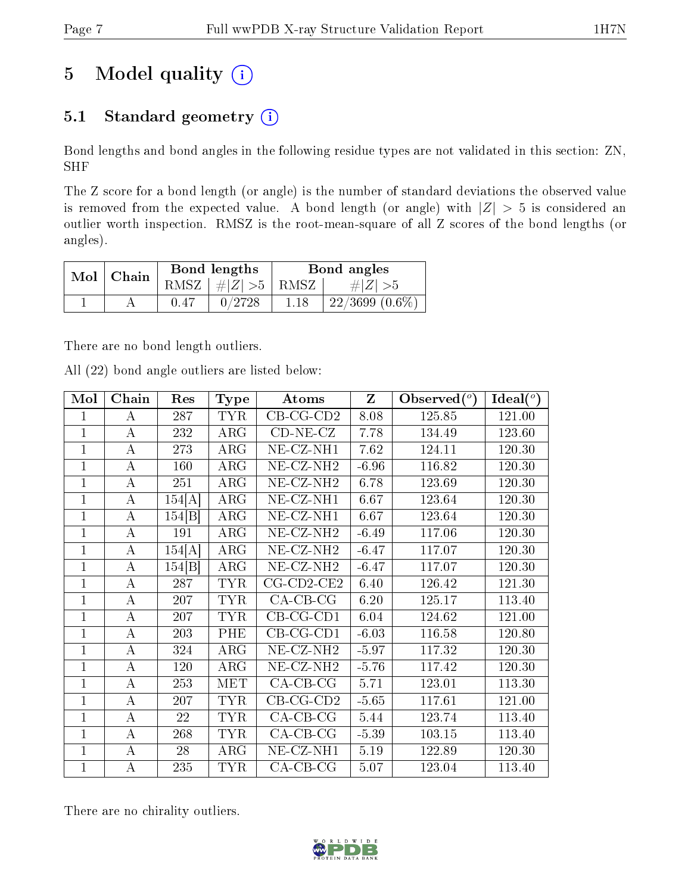# 5 Model quality  $(i)$

## 5.1 Standard geometry  $(i)$

Bond lengths and bond angles in the following residue types are not validated in this section: ZN, SHF

The Z score for a bond length (or angle) is the number of standard deviations the observed value is removed from the expected value. A bond length (or angle) with  $|Z| > 5$  is considered an outlier worth inspection. RMSZ is the root-mean-square of all Z scores of the bond lengths (or angles).

| $Mol$   Chain |      | Bond lengths                 | Bond angles |                  |  |
|---------------|------|------------------------------|-------------|------------------|--|
|               |      | RMSZ $\mid \#Z \mid >5$ RMSZ |             | $\# Z  > 5$      |  |
|               | 0.47 | 0/2728                       | -1.18       | $22/3699(0.6\%)$ |  |

There are no bond length outliers.

All (22) bond angle outliers are listed below:

| Mol            | Chain            | Res    | <b>Type</b> | Atoms                          | $\mathbf{Z}$ | Observed $(°)$ | Ideal $(°)$ |
|----------------|------------------|--------|-------------|--------------------------------|--------------|----------------|-------------|
|                | A                | 287    | <b>TYR</b>  | $CB-CG-CD2$                    | 8.08         | 125.85         | 121.00      |
| $\overline{1}$ | $\bf{A}$         | 232    | $\rm{ARG}$  | $CD-NE- CZ$                    | 7.78         | 134.49         | 123.60      |
| 1              | $\bf{A}$         | 273    | $\rm{ARG}$  | $NE$ - $CZ$ -NH1               | 7.62         | 124.11         | 120.30      |
| 1              | $\bf{A}$         | 160    | $\rm{ARG}$  | NE-CZ-NH <sub>2</sub>          | $-6.96$      | 116.82         | 120.30      |
| $\overline{1}$ | $\bf{A}$         | 251    | $\rm{ARG}$  | NE-CZ-NH <sub>2</sub>          | 6.78         | 123.69         | 120.30      |
| 1              | $\bf{A}$         | 154[A] | $\rm{ARG}$  | $\overline{\text{NE}}$ -CZ-NH1 | 6.67         | 123.64         | 120.30      |
| $\mathbf{1}$   | A                | 154 B  | $\rm{ARG}$  | NE-CZ-NH1                      | 6.67         | 123.64         | 120.30      |
| $\overline{1}$ | $\bf{A}$         | 191    | $\rm{ARG}$  | NE-CZ-NH <sub>2</sub>          | $-6.49$      | 117.06         | 120.30      |
| 1              | $\bf{A}$         | 154[A] | ARG         | NE-CZ-NH <sub>2</sub>          | $-6.47$      | 117.07         | 120.30      |
| $\overline{1}$ | $\bf{A}$         | 154 B  | $\rm{ARG}$  | $NE$ - $CZ$ -NH <sub>2</sub>   | $-6.47$      | 117.07         | 120.30      |
| 1              | $\bf{A}$         | 287    | <b>TYR</b>  | $CG$ - $CD$ 2- $CE$ 2          | 6.40         | 126.42         | 121.30      |
| $\mathbf{1}$   | $\boldsymbol{A}$ | 207    | <b>TYR</b>  | $CA-CB-CG$                     | 6.20         | 125.17         | 113.40      |
| $\mathbf{1}$   | $\bf{A}$         | 207    | <b>TYR</b>  | $CB-CG-CD1$                    | 6.04         | 124.62         | 121.00      |
| 1              | A                | 203    | PHE         | $CB-CG-CD1$                    | $-6.03$      | 116.58         | 120.80      |
| $\mathbf{1}$   | $\boldsymbol{A}$ | 324    | $\rm{ARG}$  | NE-CZ-NH <sub>2</sub>          | $-5.97$      | 117.32         | 120.30      |
| 1              | $\bf{A}$         | 120    | ARG         | NE-CZ-NH <sub>2</sub>          | $-5.76$      | 117.42         | 120.30      |
| $\mathbf{1}$   | $\bf{A}$         | 253    | <b>MET</b>  | $CA-CB-CG$                     | 5.71         | 123.01         | 113.30      |
| $\mathbf{1}$   | $\bf{A}$         | 207    | <b>TYR</b>  | $CB-CG-CD2$                    | $-5.65$      | 117.61         | 121.00      |
| $\overline{1}$ | $\bf{A}$         | 22     | <b>TYR</b>  | $CA$ -CB-CG                    | 5.44         | 123.74         | 113.40      |
| $\overline{1}$ | А                | 268    | <b>TYR</b>  | $CA-CB-CG$                     | $-5.39$      | 103.15         | 113.40      |
| 1              | A                | 28     | $\rm{ARG}$  | NE-CZ-NH1                      | 5.19         | 122.89         | 120.30      |
| $\mathbf{1}$   | А                | 235    | <b>TYR</b>  | $CA$ -CB-CG                    | 5.07         | 123.04         | 113.40      |

There are no chirality outliers.

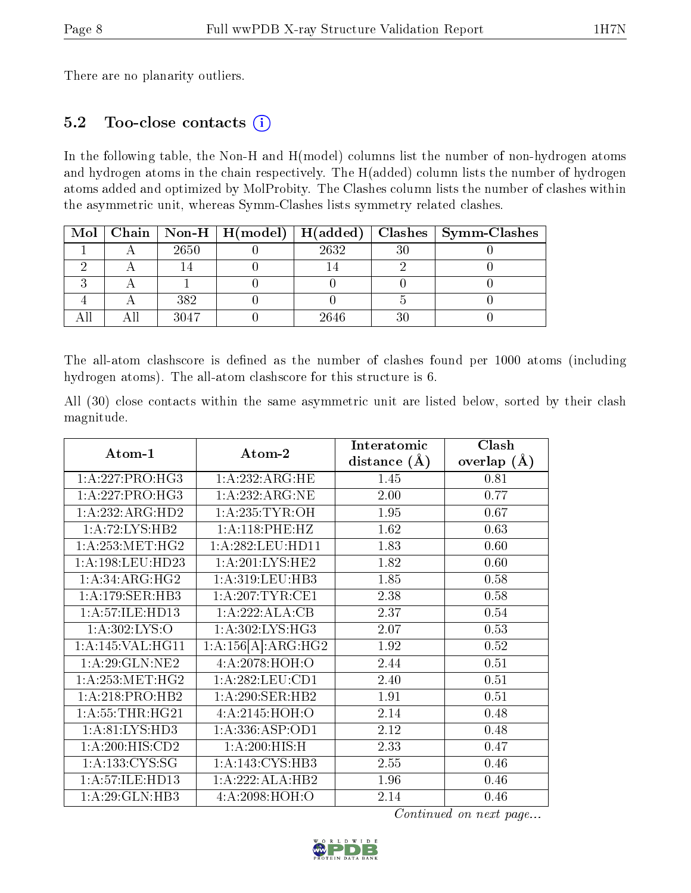There are no planarity outliers.

#### 5.2 Too-close contacts (i)

In the following table, the Non-H and H(model) columns list the number of non-hydrogen atoms and hydrogen atoms in the chain respectively. The H(added) column lists the number of hydrogen atoms added and optimized by MolProbity. The Clashes column lists the number of clashes within the asymmetric unit, whereas Symm-Clashes lists symmetry related clashes.

|  |      | Mol   Chain   Non-H   H(model)   H(added) |      |    | $\vert$ Clashes $\vert$ Symm-Clashes |
|--|------|-------------------------------------------|------|----|--------------------------------------|
|  | 2650 |                                           | 2632 | 30 |                                      |
|  |      |                                           |      |    |                                      |
|  |      |                                           |      |    |                                      |
|  | 382  |                                           |      |    |                                      |
|  | 3047 |                                           | 2646 | າເ |                                      |

The all-atom clashscore is defined as the number of clashes found per 1000 atoms (including hydrogen atoms). The all-atom clashscore for this structure is 6.

All (30) close contacts within the same asymmetric unit are listed below, sorted by their clash magnitude.

| Atom-1                       | Atom-2              | Interatomic<br>distance $(A)$ | Clash<br>overlap $(\AA)$ |
|------------------------------|---------------------|-------------------------------|--------------------------|
| 1:A:227:PRO:HG3              | 1:A:232:ARG:HE      | 1.45                          | 0.81                     |
| 1:A:227:PRO:HG3              | 1:A:232:ARG:NE      | 2.00                          | 0.77                     |
| $1:A:232:ARG:\overline{HD2}$ | 1: A:235:TYR:OH     | 1.95                          | 0.67                     |
| 1:A:72:LYS:HB2               | 1:A:118:PHE:HZ      | 1.62                          | 0.63                     |
| 1: A: 253:MET:HG2            | 1:A:282:LEU:HD11    | 1.83                          | 0.60                     |
| 1:A:198:LEU:HD23             | 1: A:201:LYS:HE2    | 1.82                          | 0.60                     |
| $1:A:34:ARG:H\overline{G2}$  | 1:A:319:LEU:HB3     | 1.85                          | 0.58                     |
| 1:A:179:SER:HB3              | 1:A:207:TYR:CE1     | 2.38                          | 0.58                     |
| 1:A:57:ILE:HD13              | 1:A:222:ALA:CB      | 2.37                          | 0.54                     |
| 1: A:302: LYS:O              | 1: A:302: LYS: HG3  | 2.07                          | 0.53                     |
| 1:A:145:VAL:HG11             | 1:A:156[A]:ARG:HG2  | 1.92                          | 0.52                     |
| 1: A:29: GLN:NE2             | 4:A:2078:HOH:O      | 2.44                          | 0.51                     |
| 1: A: 253:MET:HG2            | 1: A:282:LEU:CD1    | 2.40                          | 0.51                     |
| 1:A:218:PRO:HB2              | 1:A:290:SER:HB2     | 1.91                          | 0.51                     |
| 1: A:55:THR:HG21             | 4: A:2145: HOH:O    | 2.14                          | 0.48                     |
| 1:A:81:LYS:HD3               | 1: A: 336: ASP: OD1 | 2.12                          | 0.48                     |
| 1:A:200:HIS:CD2              | 1: A:200:HIS:H      | 2.33                          | 0.47                     |
| 1: A: 133: CYS: SG           | 1:A:143:CYS:HB3     | 2.55                          | 0.46                     |
| 1: A:57: ILE: HD13           | 1:A:222:ALA:HB2     | 1.96                          | 0.46                     |
| 1:A:29:GLN:HB3               | 4: A:2098:HOH:O     | 2.14                          | 0.46                     |

Continued on next page...

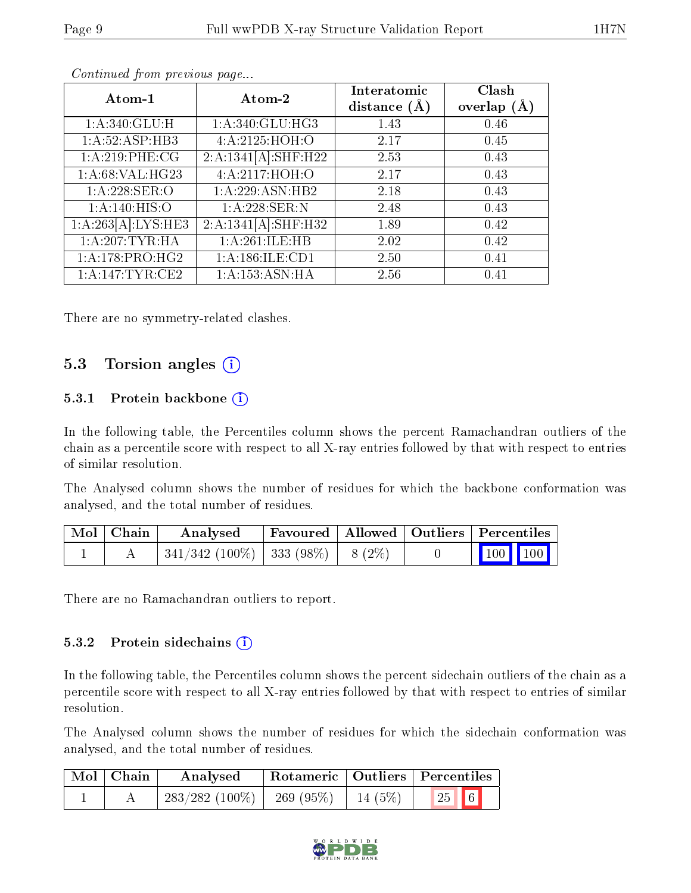| Atom-1                       | Atom-2              | Interatomic<br>distance $(\AA)$ | Clash<br>overlap $(\AA)$ |
|------------------------------|---------------------|---------------------------------|--------------------------|
| 1:A:340:GLU:H                | 1: A:340: GLU:HG3   | 1.43                            | 0.46                     |
| 1:A:52:ASP:HB3               | 4:A:2125:HOH:O      | 2.17                            | 0.45                     |
| 1:A:219:PHE:CG               | 2:A:1341[A]:SHF:H22 | 2.53                            | 0.43                     |
| 1: A:68: VAL:HG23            | 4:A:2117:HOH:O      | 2.17                            | 0.43                     |
| 1: A:228: SER:O              | 1: A:229: ASN: HB2  | 2.18                            | 0.43                     |
| 1: A:140: HIS:O              | 1:A:228:SER:N       | 2.48                            | 0.43                     |
| 1:A:263[A]:LYS:HE3           | 2:A:1341[A]:SHF:H32 | 1.89                            | 0.42                     |
| 1: A:207:TYR:HA              | 1:A:261:ILE:HB      | 2.02                            | 0.42                     |
| $1:A:178:PRO:\overline{HG2}$ | 1:A:186:ILE:CD1     | 2.50                            | 0.41                     |
| 1: A:147: TYR: CE2           | 1: A: 153: ASN: HA  | 2.56                            | 0.41                     |

Continued from previous page...

There are no symmetry-related clashes.

### 5.3 Torsion angles (i)

#### 5.3.1 Protein backbone  $(i)$

In the following table, the Percentiles column shows the percent Ramachandran outliers of the chain as a percentile score with respect to all X-ray entries followed by that with respect to entries of similar resolution.

The Analysed column shows the number of residues for which the backbone conformation was analysed, and the total number of residues.

| Mol   Chain | Analysed                                 |  | Favoured   Allowed   Outliers   Percentiles |
|-------------|------------------------------------------|--|---------------------------------------------|
|             | $341/342$ (100\%)   333 (98\%)   8 (2\%) |  | 100 100                                     |

There are no Ramachandran outliers to report.

#### 5.3.2 Protein sidechains (i)

In the following table, the Percentiles column shows the percent sidechain outliers of the chain as a percentile score with respect to all X-ray entries followed by that with respect to entries of similar resolution.

The Analysed column shows the number of residues for which the sidechain conformation was analysed, and the total number of residues.

| $\mid$ Mol $\mid$ Chain | Analysed                       |         | $\mid$ Rotameric $\mid$ Outliers $\mid$ Percentiles |
|-------------------------|--------------------------------|---------|-----------------------------------------------------|
|                         | $283/282$ (100\%)   269 (95\%) | 14 (5%) | $\vert 25 \vert \vert 6 \vert$                      |

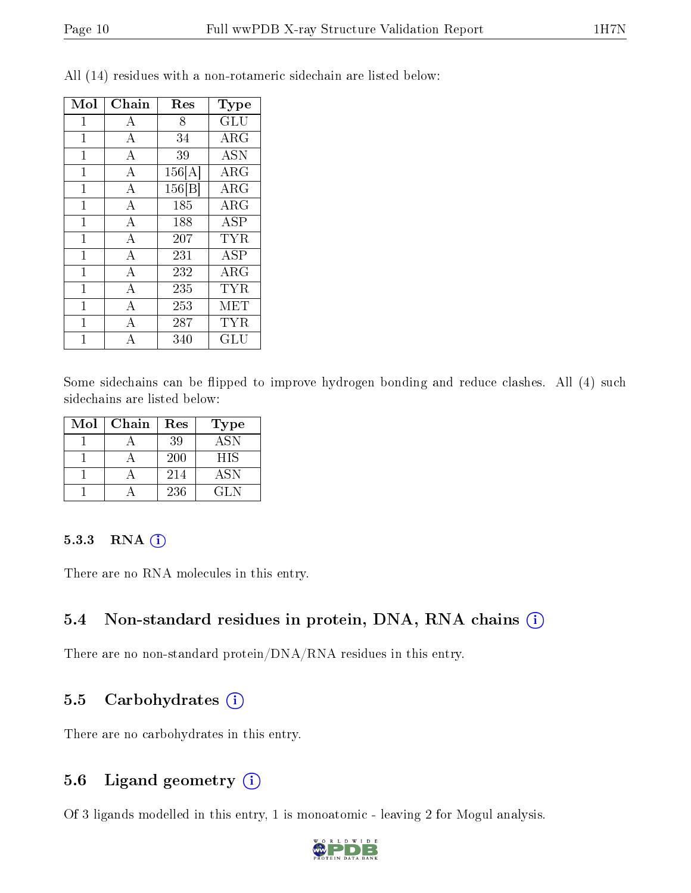| Mol          | Chain | Res                 | Type                 |
|--------------|-------|---------------------|----------------------|
| 1            | А     | 8                   | GLU                  |
| 1            | А     | 34                  | $\rm{ARG}$           |
| $\mathbf 1$  | A     | 39                  | <b>ASN</b>           |
| 1            | А     | 156[A]              | $\rm{ARG}$           |
| $\mathbf 1$  | А     | $\overline{1}56[B]$ | $\rm{ARG}$           |
| $\mathbf 1$  | А     | 185                 | <b>ARG</b>           |
| $\mathbf{1}$ | А     | 188                 | ASP                  |
| $\mathbf{1}$ | A     | 207                 | <b>TYR</b>           |
| $\mathbf{1}$ | А     | 231                 | ASP                  |
| $\mathbf{1}$ | А     | 232                 | $\rm{ARG}$           |
| $\mathbf{1}$ | А     | 235                 | <b>TYR</b>           |
| $\mathbf{1}$ | A     | 253                 | MET                  |
| $\mathbf{1}$ | А     | 287                 | TYR                  |
| 1            |       | 340                 | $\operatorname{GLU}$ |

All (14) residues with a non-rotameric sidechain are listed below:

Some sidechains can be flipped to improve hydrogen bonding and reduce clashes. All (4) such sidechains are listed below:

| Mol | Chain | Res | Type       |
|-----|-------|-----|------------|
|     |       | 39  | <b>ASN</b> |
|     |       | 200 | <b>HIS</b> |
|     |       | 214 | ASN        |
|     |       | 236 | GLN.       |

#### 5.3.3 RNA (i)

There are no RNA molecules in this entry.

### 5.4 Non-standard residues in protein, DNA, RNA chains (i)

There are no non-standard protein/DNA/RNA residues in this entry.

#### 5.5 Carbohydrates  $(i)$

There are no carbohydrates in this entry.

### 5.6 Ligand geometry (i)

Of 3 ligands modelled in this entry, 1 is monoatomic - leaving 2 for Mogul analysis.

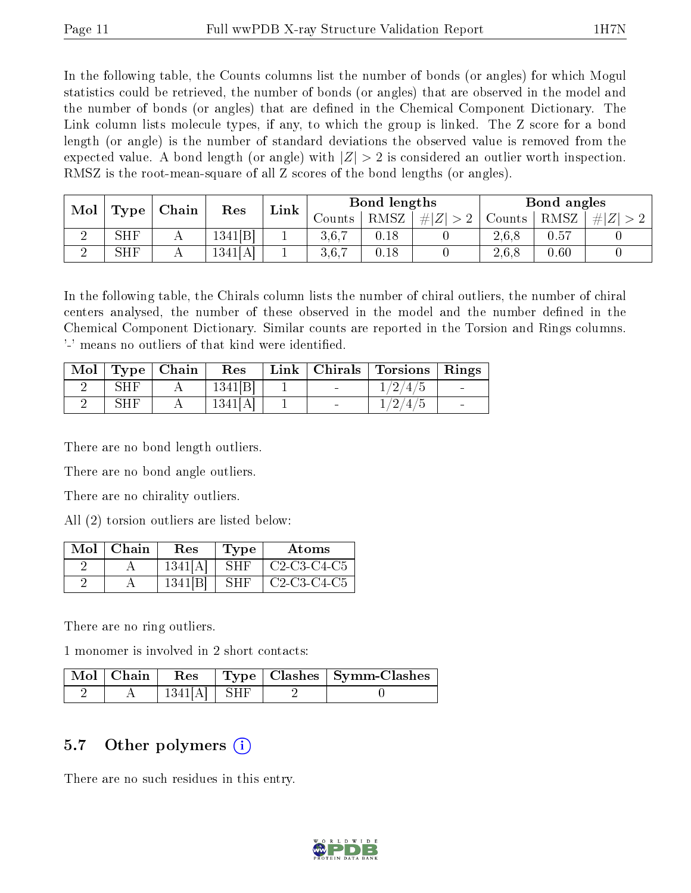In the following table, the Counts columns list the number of bonds (or angles) for which Mogul statistics could be retrieved, the number of bonds (or angles) that are observed in the model and the number of bonds (or angles) that are dened in the Chemical Component Dictionary. The Link column lists molecule types, if any, to which the group is linked. The Z score for a bond length (or angle) is the number of standard deviations the observed value is removed from the expected value. A bond length (or angle) with  $|Z| > 2$  is considered an outlier worth inspection. RMSZ is the root-mean-square of all Z scores of the bond lengths (or angles).

| Mol | Chain<br>Type |  | Bond lengths<br>Link<br>$\operatorname{Res}% \left( \mathcal{N}\right) \equiv\operatorname{Res}(\mathcal{N}_{0})\cap\mathcal{N}_{1}$ |  | Bond angles |          |          |        |      |         |
|-----|---------------|--|--------------------------------------------------------------------------------------------------------------------------------------|--|-------------|----------|----------|--------|------|---------|
|     |               |  |                                                                                                                                      |  | Counts      | RMSZ     | Z<br>-#1 | Counts | RMSZ | $\# Z $ |
|     | <b>SHF</b>    |  | 1341[B]                                                                                                                              |  | 3.6.7       | $0.18\,$ |          | 2.6.8  | 0.57 |         |
|     | SHF           |  | 1341[A]                                                                                                                              |  | 3,6,7       | $0.18\,$ |          | 2,6,8  | 0.60 |         |

In the following table, the Chirals column lists the number of chiral outliers, the number of chiral centers analysed, the number of these observed in the model and the number defined in the Chemical Component Dictionary. Similar counts are reported in the Torsion and Rings columns. '-' means no outliers of that kind were identified.

| Mol |             | $\mathbf{Type} \mid \mathbf{Chain}$ | Res     |                             | Link   Chirals   Torsions | Rings |
|-----|-------------|-------------------------------------|---------|-----------------------------|---------------------------|-------|
|     | SHF         |                                     | 1341 B  | and the control of the con- | 1/2/4/5                   |       |
|     | ${\rm SHF}$ |                                     | 1341[A] |                             | $^{\prime}2/4/5$          |       |

There are no bond length outliers.

There are no bond angle outliers.

There are no chirality outliers.

All (2) torsion outliers are listed below:

| Mol | Chain | $\operatorname{Res}% \left( \mathcal{N}\right) \equiv\operatorname{Res}(\mathcal{N}_{0},\mathcal{N}_{0})$ | Type | Atoms         |
|-----|-------|-----------------------------------------------------------------------------------------------------------|------|---------------|
|     |       | 1341[A                                                                                                    | SH F | $C2-C3-C4-C5$ |
|     |       | 1341                                                                                                      | SHF  | $C2-C3-C4-C5$ |

There are no ring outliers.

1 monomer is involved in 2 short contacts:

| $\text{Mol}$   Chain |               |  | $\vert$ Res $\vert$ Type $\vert$ Clashes $\vert$ Symm-Clashes |
|----------------------|---------------|--|---------------------------------------------------------------|
|                      | $1341[A]$ SHF |  |                                                               |

### 5.7 [O](https://www.wwpdb.org/validation/2017/XrayValidationReportHelp#nonstandard_residues_and_ligands)ther polymers  $(i)$

There are no such residues in this entry.

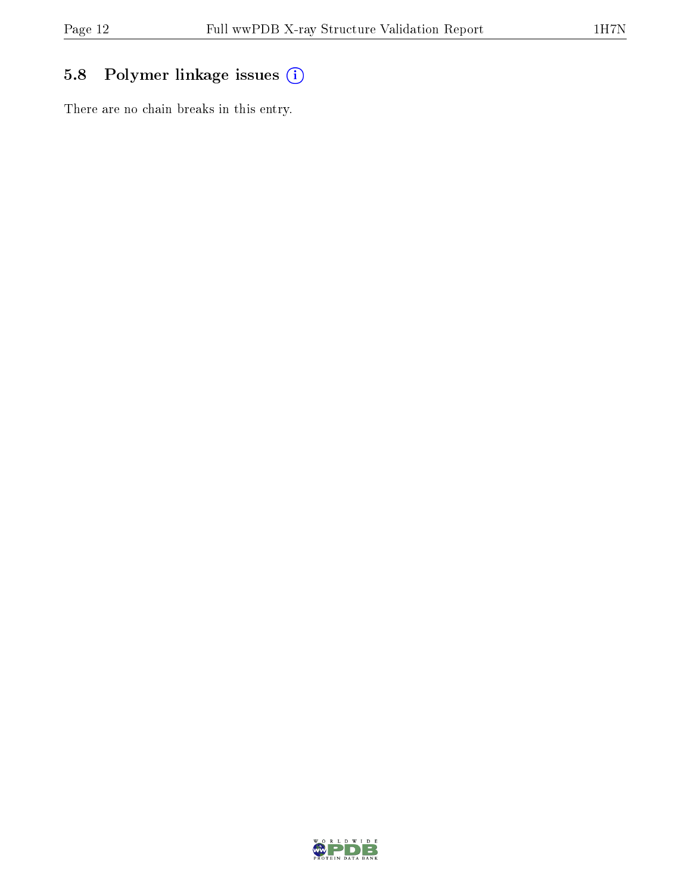## 5.8 Polymer linkage issues (i)

There are no chain breaks in this entry.

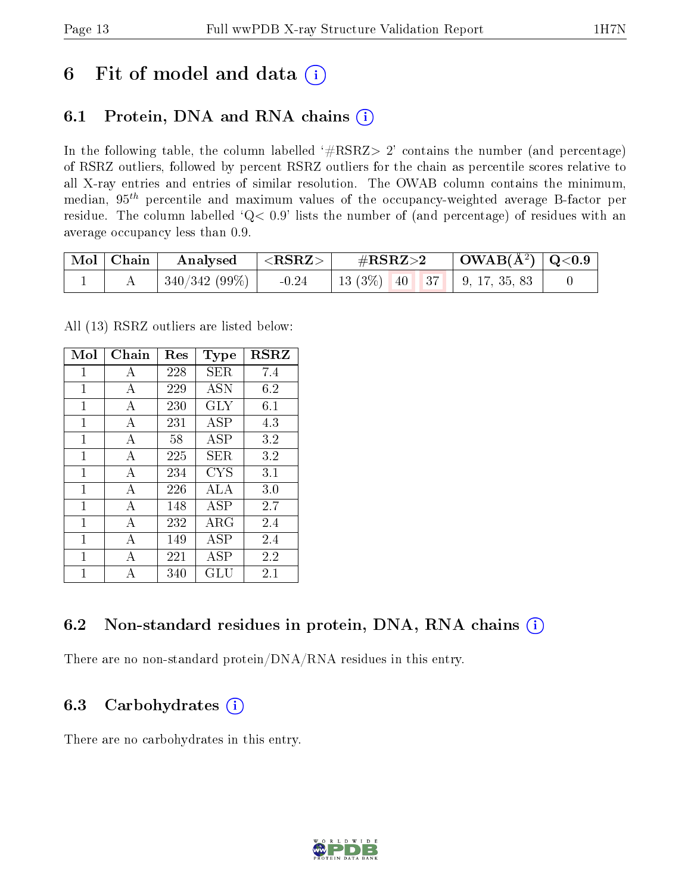## 6 Fit of model and data  $(i)$

## 6.1 Protein, DNA and RNA chains  $(i)$

In the following table, the column labelled  $#RSRZ> 2'$  contains the number (and percentage) of RSRZ outliers, followed by percent RSRZ outliers for the chain as percentile scores relative to all X-ray entries and entries of similar resolution. The OWAB column contains the minimum, median,  $95<sup>th</sup>$  percentile and maximum values of the occupancy-weighted average B-factor per residue. The column labelled ' $Q< 0.9$ ' lists the number of (and percentage) of residues with an average occupancy less than 0.9.

| $\mid$ Mol $\mid$ Chain | $\mid$ Analysed $\mid$ <rsrz> <math>\mid</math></rsrz> |         | $\#RSRZ\!\!>\!2$                              | $\mid$ OWAB(Å <sup>2</sup> ) $\mid$ Q<0.9 $\mid$ |  |
|-------------------------|--------------------------------------------------------|---------|-----------------------------------------------|--------------------------------------------------|--|
|                         | $\mid$ 340/342 (99%) $\mid$                            | $-0.24$ | 13 (3\%)   40   37   9, 17, 35, 83 $^{\circ}$ |                                                  |  |

All (13) RSRZ outliers are listed below:

| Mol | Chain          | $\operatorname{Res}% \left( \mathcal{N}\right) \equiv\operatorname{Res}(\mathcal{N}_{0},\mathcal{N}_{0})$ | Type       | $_{\rm RSRZ}$ |
|-----|----------------|-----------------------------------------------------------------------------------------------------------|------------|---------------|
| 1   | А              | 228                                                                                                       | SER        | 7.4           |
| 1   | A              | 229                                                                                                       | <b>ASN</b> | 6.2           |
| 1   | A              | 230                                                                                                       | GLY        | 6.1           |
| 1   | А              | 231                                                                                                       | ASP        | 4.3           |
| 1   | A              | 58                                                                                                        | ASP        | 3.2           |
| 1   | А              | 225                                                                                                       | SER.       | 3.2           |
| 1   | A              | 234                                                                                                       | <b>CYS</b> | 3.1           |
| 1   | A              | 226                                                                                                       | ALA        | 3.0           |
| 1   | A              | 148                                                                                                       | <b>ASP</b> | 2.7           |
| 1   | $\overline{A}$ | 232                                                                                                       | $\rm{ARG}$ | 2.4           |
| 1   | А              | 149                                                                                                       | ASP        | 2.4           |
| 1   | А              | 221                                                                                                       | ASP        | 2.2           |
| 1   | А              | 340                                                                                                       | GLU        | 2.1           |

### 6.2 Non-standard residues in protein, DNA, RNA chains (i)

There are no non-standard protein/DNA/RNA residues in this entry.

### 6.3 Carbohydrates (i)

There are no carbohydrates in this entry.